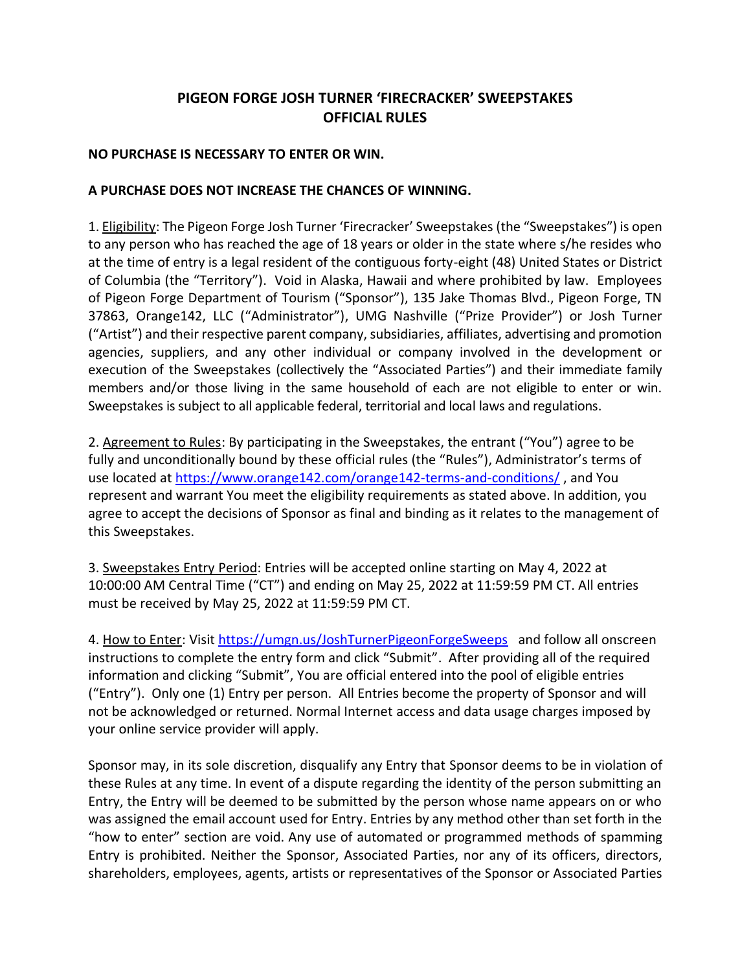## **PIGEON FORGE JOSH TURNER 'FIRECRACKER' SWEEPSTAKES OFFICIAL RULES**

## **NO PURCHASE IS NECESSARY TO ENTER OR WIN.**

## **A PURCHASE DOES NOT INCREASE THE CHANCES OF WINNING.**

1. Eligibility: The Pigeon Forge Josh Turner 'Firecracker' Sweepstakes (the "Sweepstakes") is open to any person who has reached the age of 18 years or older in the state where s/he resides who at the time of entry is a legal resident of the contiguous forty-eight (48) United States or District of Columbia (the "Territory"). Void in Alaska, Hawaii and where prohibited by law. Employees of Pigeon Forge Department of Tourism ("Sponsor"), 135 Jake Thomas Blvd., Pigeon Forge, TN 37863, Orange142, LLC ("Administrator"), UMG Nashville ("Prize Provider") or Josh Turner ("Artist") and their respective parent company, subsidiaries, affiliates, advertising and promotion agencies, suppliers, and any other individual or company involved in the development or execution of the Sweepstakes (collectively the "Associated Parties") and their immediate family members and/or those living in the same household of each are not eligible to enter or win. Sweepstakes is subject to all applicable federal, territorial and local laws and regulations.

2. Agreement to Rules: By participating in the Sweepstakes, the entrant ("You") agree to be fully and unconditionally bound by these official rules (the "Rules"), Administrator's terms of use located at<https://www.orange142.com/orange142-terms-and-conditions/>, and You represent and warrant You meet the eligibility requirements as stated above. In addition, you agree to accept the decisions of Sponsor as final and binding as it relates to the management of this Sweepstakes.

3. Sweepstakes Entry Period: Entries will be accepted online starting on May 4, 2022 at 10:00:00 AM Central Time ("CT") and ending on May 25, 2022 at 11:59:59 PM CT. All entries must be received by May 25, 2022 at 11:59:59 PM CT.

4. How to Enter: Visit<https://umgn.us/JoshTurnerPigeonForgeSweeps> and follow all onscreen instructions to complete the entry form and click "Submit". After providing all of the required information and clicking "Submit", You are official entered into the pool of eligible entries ("Entry"). Only one (1) Entry per person. All Entries become the property of Sponsor and will not be acknowledged or returned. Normal Internet access and data usage charges imposed by your online service provider will apply.

Sponsor may, in its sole discretion, disqualify any Entry that Sponsor deems to be in violation of these Rules at any time. In event of a dispute regarding the identity of the person submitting an Entry, the Entry will be deemed to be submitted by the person whose name appears on or who was assigned the email account used for Entry. Entries by any method other than set forth in the "how to enter" section are void. Any use of automated or programmed methods of spamming Entry is prohibited. Neither the Sponsor, Associated Parties, nor any of its officers, directors, shareholders, employees, agents, artists or representatives of the Sponsor or Associated Parties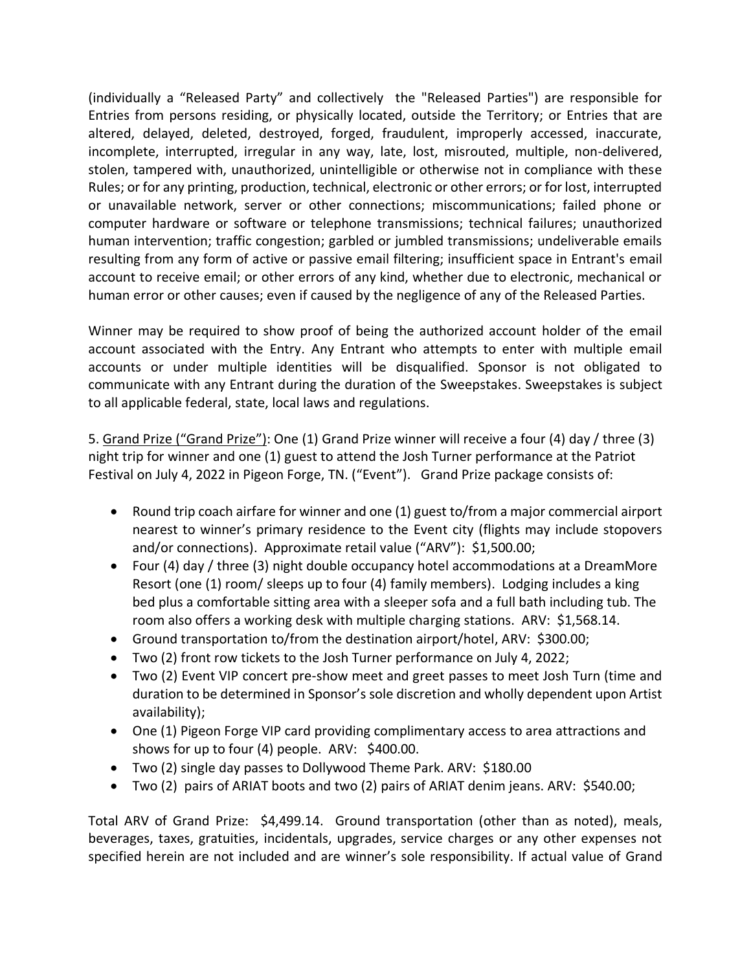(individually a "Released Party" and collectively the "Released Parties") are responsible for Entries from persons residing, or physically located, outside the Territory; or Entries that are altered, delayed, deleted, destroyed, forged, fraudulent, improperly accessed, inaccurate, incomplete, interrupted, irregular in any way, late, lost, misrouted, multiple, non-delivered, stolen, tampered with, unauthorized, unintelligible or otherwise not in compliance with these Rules; or for any printing, production, technical, electronic or other errors; or for lost, interrupted or unavailable network, server or other connections; miscommunications; failed phone or computer hardware or software or telephone transmissions; technical failures; unauthorized human intervention; traffic congestion; garbled or jumbled transmissions; undeliverable emails resulting from any form of active or passive email filtering; insufficient space in Entrant's email account to receive email; or other errors of any kind, whether due to electronic, mechanical or human error or other causes; even if caused by the negligence of any of the Released Parties.

Winner may be required to show proof of being the authorized account holder of the email account associated with the Entry. Any Entrant who attempts to enter with multiple email accounts or under multiple identities will be disqualified. Sponsor is not obligated to communicate with any Entrant during the duration of the Sweepstakes. Sweepstakes is subject to all applicable federal, state, local laws and regulations.

5. Grand Prize ("Grand Prize"): One (1) Grand Prize winner will receive a four (4) day / three (3) night trip for winner and one (1) guest to attend the Josh Turner performance at the Patriot Festival on July 4, 2022 in Pigeon Forge, TN. ("Event"). Grand Prize package consists of:

- Round trip coach airfare for winner and one (1) guest to/from a major commercial airport nearest to winner's primary residence to the Event city (flights may include stopovers and/or connections). Approximate retail value ("ARV"): \$1,500.00;
- Four (4) day / three (3) night double occupancy hotel accommodations at a DreamMore Resort (one (1) room/ sleeps up to four (4) family members). Lodging includes a king bed plus a comfortable sitting area with a sleeper sofa and a full bath including tub. The room also offers a working desk with multiple charging stations. ARV: \$1,568.14.
- Ground transportation to/from the destination airport/hotel, ARV: \$300.00;
- Two (2) front row tickets to the Josh Turner performance on July 4, 2022;
- Two (2) Event VIP concert pre-show meet and greet passes to meet Josh Turn (time and duration to be determined in Sponsor's sole discretion and wholly dependent upon Artist availability);
- One (1) Pigeon Forge VIP card providing complimentary access to area attractions and shows for up to four (4) people. ARV: \$400.00.
- Two (2) single day passes to Dollywood Theme Park. ARV: \$180.00
- Two (2) pairs of ARIAT boots and two (2) pairs of ARIAT denim jeans. ARV: \$540.00;

Total ARV of Grand Prize: \$4,499.14. Ground transportation (other than as noted), meals, beverages, taxes, gratuities, incidentals, upgrades, service charges or any other expenses not specified herein are not included and are winner's sole responsibility. If actual value of Grand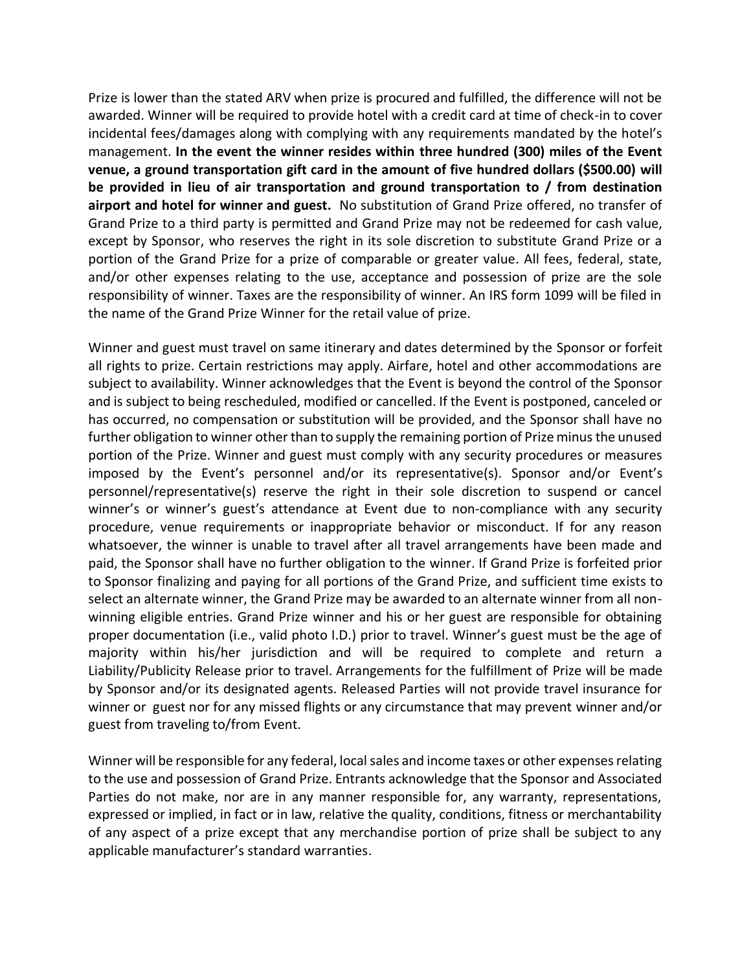Prize is lower than the stated ARV when prize is procured and fulfilled, the difference will not be awarded. Winner will be required to provide hotel with a credit card at time of check-in to cover incidental fees/damages along with complying with any requirements mandated by the hotel's management. **In the event the winner resides within three hundred (300) miles of the Event venue, a ground transportation gift card in the amount of five hundred dollars (\$500.00) will be provided in lieu of air transportation and ground transportation to / from destination airport and hotel for winner and guest.** No substitution of Grand Prize offered, no transfer of Grand Prize to a third party is permitted and Grand Prize may not be redeemed for cash value, except by Sponsor, who reserves the right in its sole discretion to substitute Grand Prize or a portion of the Grand Prize for a prize of comparable or greater value. All fees, federal, state, and/or other expenses relating to the use, acceptance and possession of prize are the sole responsibility of winner. Taxes are the responsibility of winner. An IRS form 1099 will be filed in the name of the Grand Prize Winner for the retail value of prize.

Winner and guest must travel on same itinerary and dates determined by the Sponsor or forfeit all rights to prize. Certain restrictions may apply. Airfare, hotel and other accommodations are subject to availability. Winner acknowledges that the Event is beyond the control of the Sponsor and is subject to being rescheduled, modified or cancelled. If the Event is postponed, canceled or has occurred, no compensation or substitution will be provided, and the Sponsor shall have no further obligation to winner other than to supply the remaining portion of Prize minus the unused portion of the Prize. Winner and guest must comply with any security procedures or measures imposed by the Event's personnel and/or its representative(s). Sponsor and/or Event's personnel/representative(s) reserve the right in their sole discretion to suspend or cancel winner's or winner's guest's attendance at Event due to non-compliance with any security procedure, venue requirements or inappropriate behavior or misconduct. If for any reason whatsoever, the winner is unable to travel after all travel arrangements have been made and paid, the Sponsor shall have no further obligation to the winner. If Grand Prize is forfeited prior to Sponsor finalizing and paying for all portions of the Grand Prize, and sufficient time exists to select an alternate winner, the Grand Prize may be awarded to an alternate winner from all nonwinning eligible entries. Grand Prize winner and his or her guest are responsible for obtaining proper documentation (i.e., valid photo I.D.) prior to travel. Winner's guest must be the age of majority within his/her jurisdiction and will be required to complete and return a Liability/Publicity Release prior to travel. Arrangements for the fulfillment of Prize will be made by Sponsor and/or its designated agents. Released Parties will not provide travel insurance for winner or guest nor for any missed flights or any circumstance that may prevent winner and/or guest from traveling to/from Event.

Winner will be responsible for any federal, local sales and income taxes or other expenses relating to the use and possession of Grand Prize. Entrants acknowledge that the Sponsor and Associated Parties do not make, nor are in any manner responsible for, any warranty, representations, expressed or implied, in fact or in law, relative the quality, conditions, fitness or merchantability of any aspect of a prize except that any merchandise portion of prize shall be subject to any applicable manufacturer's standard warranties.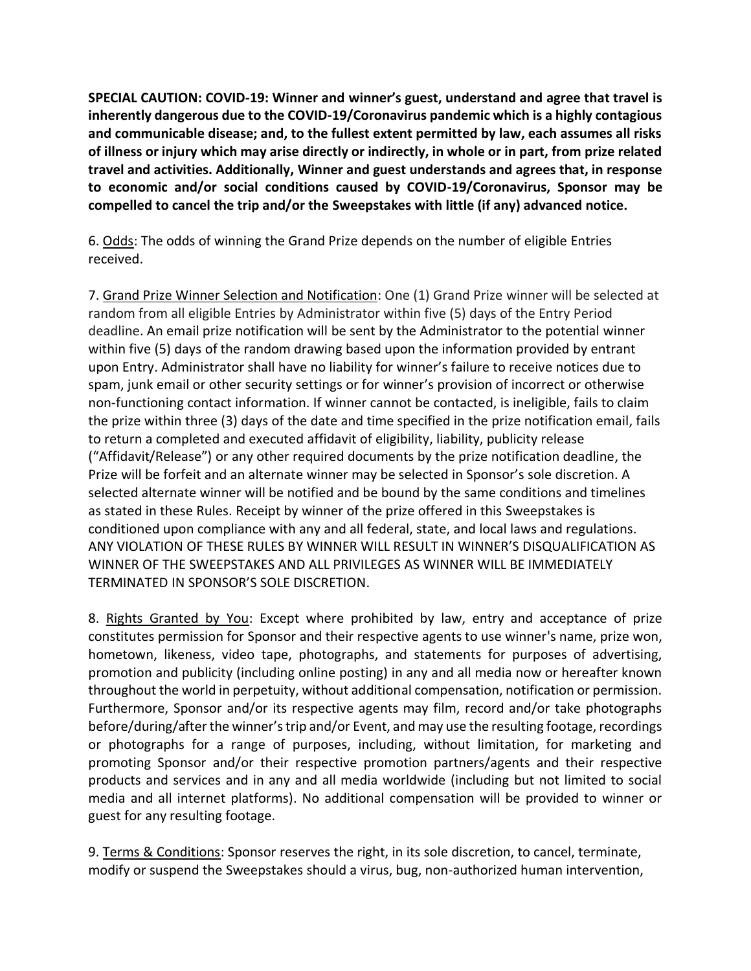**SPECIAL CAUTION: COVID-19: Winner and winner's guest, understand and agree that travel is inherently dangerous due to the COVID-19/Coronavirus pandemic which is a highly contagious and communicable disease; and, to the fullest extent permitted by law, each assumes all risks of illness or injury which may arise directly or indirectly, in whole or in part, from prize related travel and activities. Additionally, Winner and guest understands and agrees that, in response to economic and/or social conditions caused by COVID-19/Coronavirus, Sponsor may be compelled to cancel the trip and/or the Sweepstakes with little (if any) advanced notice.**

6. Odds: The odds of winning the Grand Prize depends on the number of eligible Entries received.

7. Grand Prize Winner Selection and Notification: One (1) Grand Prize winner will be selected at random from all eligible Entries by Administrator within five (5) days of the Entry Period deadline. An email prize notification will be sent by the Administrator to the potential winner within five (5) days of the random drawing based upon the information provided by entrant upon Entry. Administrator shall have no liability for winner's failure to receive notices due to spam, junk email or other security settings or for winner's provision of incorrect or otherwise non-functioning contact information. If winner cannot be contacted, is ineligible, fails to claim the prize within three (3) days of the date and time specified in the prize notification email, fails to return a completed and executed affidavit of eligibility, liability, publicity release ("Affidavit/Release") or any other required documents by the prize notification deadline, the Prize will be forfeit and an alternate winner may be selected in Sponsor's sole discretion. A selected alternate winner will be notified and be bound by the same conditions and timelines as stated in these Rules. Receipt by winner of the prize offered in this Sweepstakes is conditioned upon compliance with any and all federal, state, and local laws and regulations. ANY VIOLATION OF THESE RULES BY WINNER WILL RESULT IN WINNER'S DISQUALIFICATION AS WINNER OF THE SWEEPSTAKES AND ALL PRIVILEGES AS WINNER WILL BE IMMEDIATELY TERMINATED IN SPONSOR'S SOLE DISCRETION.

8. Rights Granted by You: Except where prohibited by law, entry and acceptance of prize constitutes permission for Sponsor and their respective agents to use winner's name, prize won, hometown, likeness, video tape, photographs, and statements for purposes of advertising, promotion and publicity (including online posting) in any and all media now or hereafter known throughout the world in perpetuity, without additional compensation, notification or permission. Furthermore, Sponsor and/or its respective agents may film, record and/or take photographs before/during/after the winner's trip and/or Event, and may use the resulting footage, recordings or photographs for a range of purposes, including, without limitation, for marketing and promoting Sponsor and/or their respective promotion partners/agents and their respective products and services and in any and all media worldwide (including but not limited to social media and all internet platforms). No additional compensation will be provided to winner or guest for any resulting footage.

9. Terms & Conditions: Sponsor reserves the right, in its sole discretion, to cancel, terminate, modify or suspend the Sweepstakes should a virus, bug, non-authorized human intervention,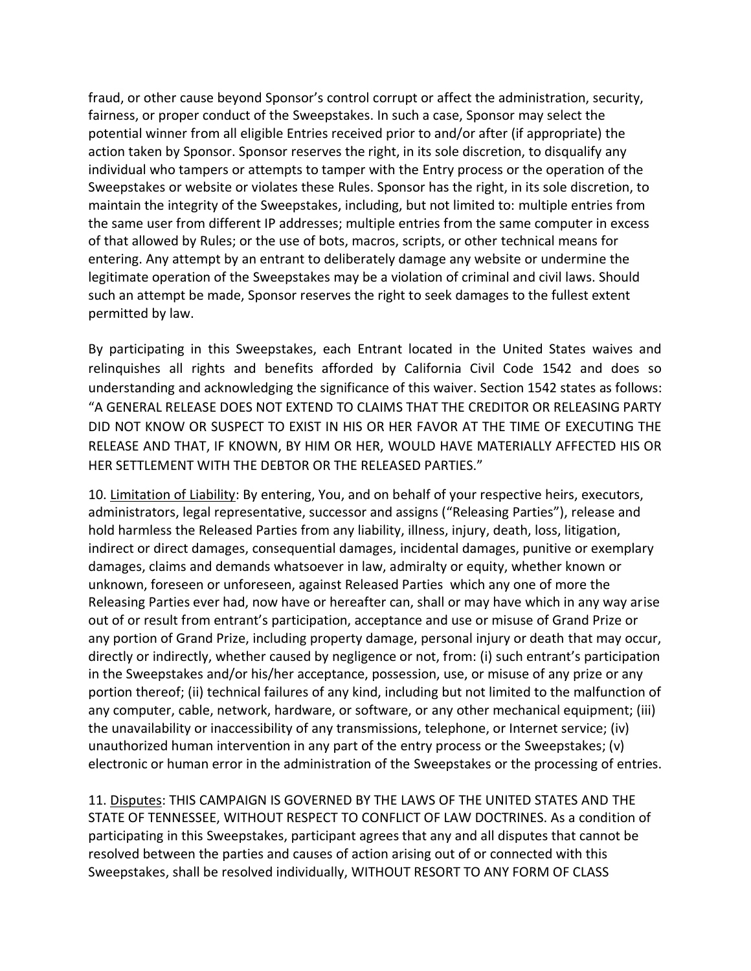fraud, or other cause beyond Sponsor's control corrupt or affect the administration, security, fairness, or proper conduct of the Sweepstakes. In such a case, Sponsor may select the potential winner from all eligible Entries received prior to and/or after (if appropriate) the action taken by Sponsor. Sponsor reserves the right, in its sole discretion, to disqualify any individual who tampers or attempts to tamper with the Entry process or the operation of the Sweepstakes or website or violates these Rules. Sponsor has the right, in its sole discretion, to maintain the integrity of the Sweepstakes, including, but not limited to: multiple entries from the same user from different IP addresses; multiple entries from the same computer in excess of that allowed by Rules; or the use of bots, macros, scripts, or other technical means for entering. Any attempt by an entrant to deliberately damage any website or undermine the legitimate operation of the Sweepstakes may be a violation of criminal and civil laws. Should such an attempt be made, Sponsor reserves the right to seek damages to the fullest extent permitted by law.

By participating in this Sweepstakes, each Entrant located in the United States waives and relinquishes all rights and benefits afforded by California Civil Code 1542 and does so understanding and acknowledging the significance of this waiver. Section 1542 states as follows: "A GENERAL RELEASE DOES NOT EXTEND TO CLAIMS THAT THE CREDITOR OR RELEASING PARTY DID NOT KNOW OR SUSPECT TO EXIST IN HIS OR HER FAVOR AT THE TIME OF EXECUTING THE RELEASE AND THAT, IF KNOWN, BY HIM OR HER, WOULD HAVE MATERIALLY AFFECTED HIS OR HER SETTLEMENT WITH THE DEBTOR OR THE RELEASED PARTIES."

10. Limitation of Liability: By entering, You, and on behalf of your respective heirs, executors, administrators, legal representative, successor and assigns ("Releasing Parties"), release and hold harmless the Released Parties from any liability, illness, injury, death, loss, litigation, indirect or direct damages, consequential damages, incidental damages, punitive or exemplary damages, claims and demands whatsoever in law, admiralty or equity, whether known or unknown, foreseen or unforeseen, against Released Parties which any one of more the Releasing Parties ever had, now have or hereafter can, shall or may have which in any way arise out of or result from entrant's participation, acceptance and use or misuse of Grand Prize or any portion of Grand Prize, including property damage, personal injury or death that may occur, directly or indirectly, whether caused by negligence or not, from: (i) such entrant's participation in the Sweepstakes and/or his/her acceptance, possession, use, or misuse of any prize or any portion thereof; (ii) technical failures of any kind, including but not limited to the malfunction of any computer, cable, network, hardware, or software, or any other mechanical equipment; (iii) the unavailability or inaccessibility of any transmissions, telephone, or Internet service; (iv) unauthorized human intervention in any part of the entry process or the Sweepstakes; (v) electronic or human error in the administration of the Sweepstakes or the processing of entries.

11. Disputes: THIS CAMPAIGN IS GOVERNED BY THE LAWS OF THE UNITED STATES AND THE STATE OF TENNESSEE, WITHOUT RESPECT TO CONFLICT OF LAW DOCTRINES. As a condition of participating in this Sweepstakes, participant agrees that any and all disputes that cannot be resolved between the parties and causes of action arising out of or connected with this Sweepstakes, shall be resolved individually, WITHOUT RESORT TO ANY FORM OF CLASS